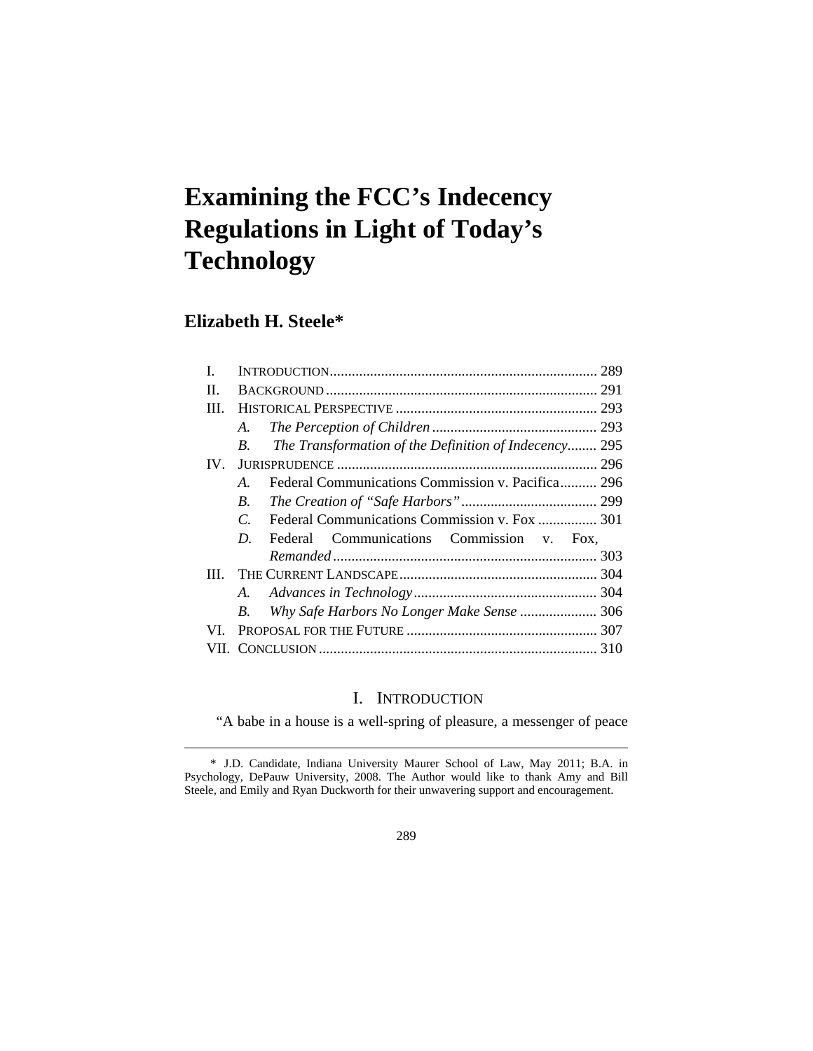# **Examining the FCC's Indecency Regulations in Light of Today's Technology**

## **Elizabeth H. Steele\***

 $\overline{a}$ 

|          | 289                                                                |  |
|----------|--------------------------------------------------------------------|--|
| H.       |                                                                    |  |
| Ш        |                                                                    |  |
|          | A.                                                                 |  |
|          | The Transformation of the Definition of Indecency 295<br>$B_{-}$   |  |
| $IV_{-}$ |                                                                    |  |
|          | Federal Communications Commission v. Pacifica 296<br>$\mathcal{A}$ |  |
|          | $B_{\cdot}$                                                        |  |
|          | $\mathcal{C}$                                                      |  |
|          | Federal Communications Commission v. Fox,<br>D.                    |  |
|          |                                                                    |  |
| Ш        |                                                                    |  |
|          |                                                                    |  |
|          | Why Safe Harbors No Longer Make Sense  306<br>$B_{\cdot}$          |  |
| VI –     |                                                                    |  |
|          |                                                                    |  |

### I. INTRODUCTION

"A babe in a house is a well-spring of pleasure, a messenger of peace

289

 <sup>\*</sup> J.D. Candidate, Indiana University Maurer School of Law, May 2011; B.A. in Psychology, DePauw University, 2008. The Author would like to thank Amy and Bill Steele, and Emily and Ryan Duckworth for their unwavering support and encouragement.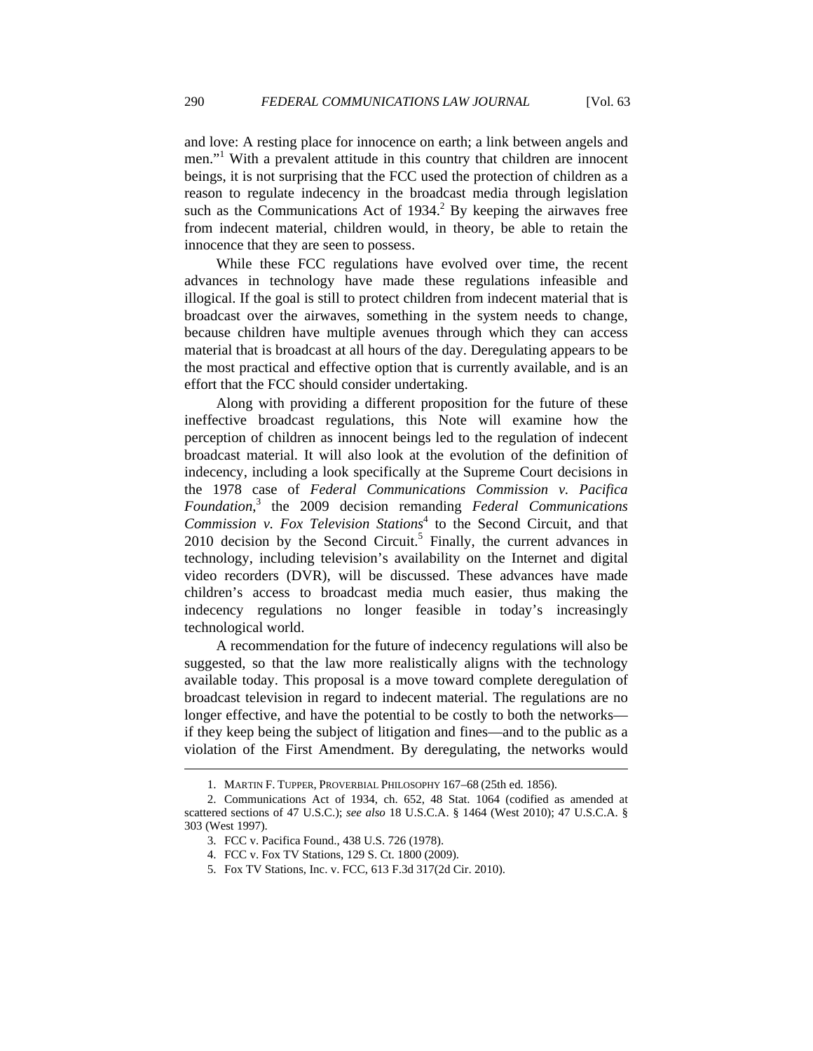and love: A resting place for innocence on earth; a link between angels and men."<sup>1</sup> With a prevalent attitude in this country that children are innocent beings, it is not surprising that the FCC used the protection of children as a reason to regulate indecency in the broadcast media through legislation such as the Communications Act of  $1934<sup>2</sup>$  By keeping the airwaves free from indecent material, children would, in theory, be able to retain the innocence that they are seen to possess.

While these FCC regulations have evolved over time, the recent advances in technology have made these regulations infeasible and illogical. If the goal is still to protect children from indecent material that is broadcast over the airwaves, something in the system needs to change, because children have multiple avenues through which they can access material that is broadcast at all hours of the day. Deregulating appears to be the most practical and effective option that is currently available, and is an effort that the FCC should consider undertaking.

Along with providing a different proposition for the future of these ineffective broadcast regulations, this Note will examine how the perception of children as innocent beings led to the regulation of indecent broadcast material. It will also look at the evolution of the definition of indecency, including a look specifically at the Supreme Court decisions in the 1978 case of *Federal Communications Commission v. Pacifica Foundation*, 3 the 2009 decision remanding *Federal Communications Commission v. Fox Television Stations*<sup>4</sup> to the Second Circuit, and that  $2010$  decision by the Second Circuit.<sup>5</sup> Finally, the current advances in technology, including television's availability on the Internet and digital video recorders (DVR), will be discussed. These advances have made children's access to broadcast media much easier, thus making the indecency regulations no longer feasible in today's increasingly technological world.

A recommendation for the future of indecency regulations will also be suggested, so that the law more realistically aligns with the technology available today. This proposal is a move toward complete deregulation of broadcast television in regard to indecent material. The regulations are no longer effective, and have the potential to be costly to both the networks if they keep being the subject of litigation and fines—and to the public as a violation of the First Amendment. By deregulating, the networks would

 <sup>1.</sup> MARTIN F. TUPPER, PROVERBIAL PHILOSOPHY 167–68 (25th ed. 1856).

 <sup>2.</sup> Communications Act of 1934, ch. 652, 48 Stat. 1064 (codified as amended at scattered sections of 47 U.S.C.); *see also* 18 U.S.C.A. § 1464 (West 2010); 47 U.S.C.A. § 303 (West 1997).

 <sup>3.</sup> FCC v. Pacifica Found., 438 U.S. 726 (1978).

 <sup>4.</sup> FCC v. Fox TV Stations, 129 S. Ct. 1800 (2009).

 <sup>5.</sup> Fox TV Stations, Inc. v. FCC, 613 F.3d 317(2d Cir. 2010).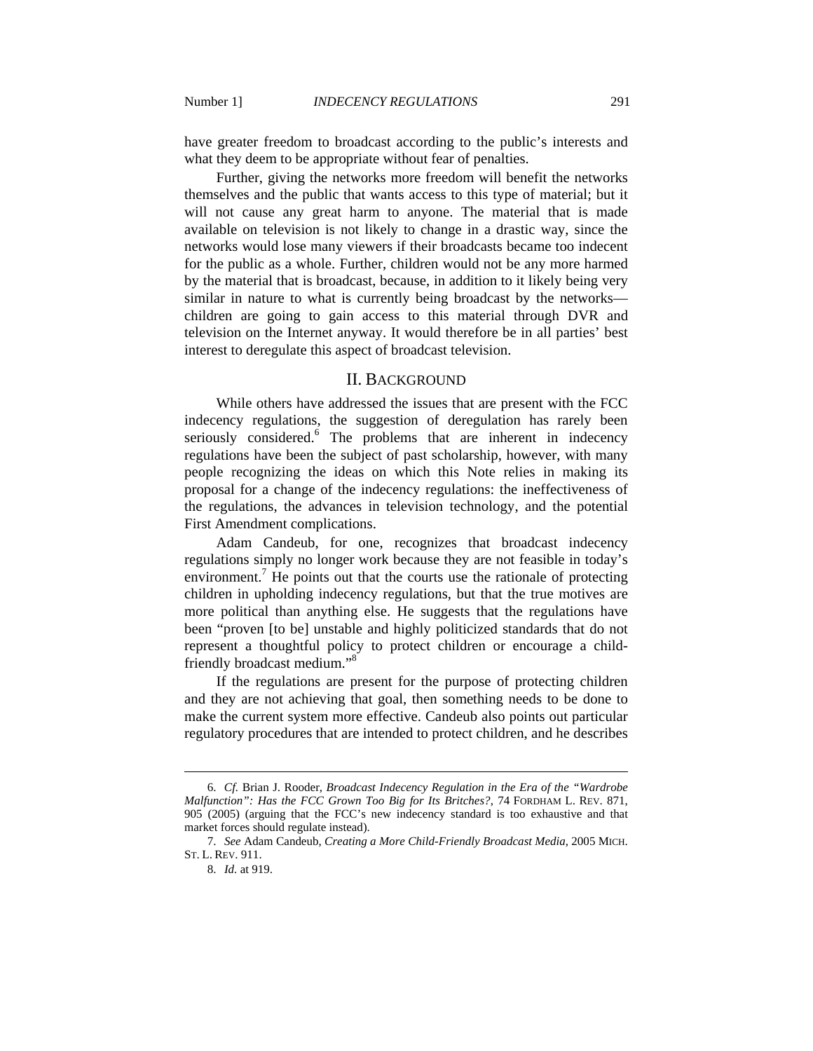have greater freedom to broadcast according to the public's interests and what they deem to be appropriate without fear of penalties.

Further, giving the networks more freedom will benefit the networks themselves and the public that wants access to this type of material; but it will not cause any great harm to anyone. The material that is made available on television is not likely to change in a drastic way, since the networks would lose many viewers if their broadcasts became too indecent for the public as a whole. Further, children would not be any more harmed by the material that is broadcast, because, in addition to it likely being very similar in nature to what is currently being broadcast by the networks children are going to gain access to this material through DVR and television on the Internet anyway. It would therefore be in all parties' best interest to deregulate this aspect of broadcast television.

#### II. BACKGROUND

While others have addressed the issues that are present with the FCC indecency regulations, the suggestion of deregulation has rarely been seriously considered.<sup>6</sup> The problems that are inherent in indecency regulations have been the subject of past scholarship, however, with many people recognizing the ideas on which this Note relies in making its proposal for a change of the indecency regulations: the ineffectiveness of the regulations, the advances in television technology, and the potential First Amendment complications.

Adam Candeub, for one, recognizes that broadcast indecency regulations simply no longer work because they are not feasible in today's environment.<sup>7</sup> He points out that the courts use the rationale of protecting children in upholding indecency regulations, but that the true motives are more political than anything else. He suggests that the regulations have been "proven [to be] unstable and highly politicized standards that do not represent a thoughtful policy to protect children or encourage a childfriendly broadcast medium."<sup>8</sup>

If the regulations are present for the purpose of protecting children and they are not achieving that goal, then something needs to be done to make the current system more effective. Candeub also points out particular regulatory procedures that are intended to protect children, and he describes

 <sup>6.</sup> *Cf.* Brian J. Rooder, *Broadcast Indecency Regulation in the Era of the "Wardrobe Malfunction": Has the FCC Grown Too Big for Its Britches?*, 74 FORDHAM L. REV. 871, 905 (2005) (arguing that the FCC's new indecency standard is too exhaustive and that market forces should regulate instead).

 <sup>7.</sup> *See* Adam Candeub, *Creating a More Child-Friendly Broadcast Media*, 2005 MICH. ST. L. REV. 911.

 <sup>8.</sup> *Id.* at 919.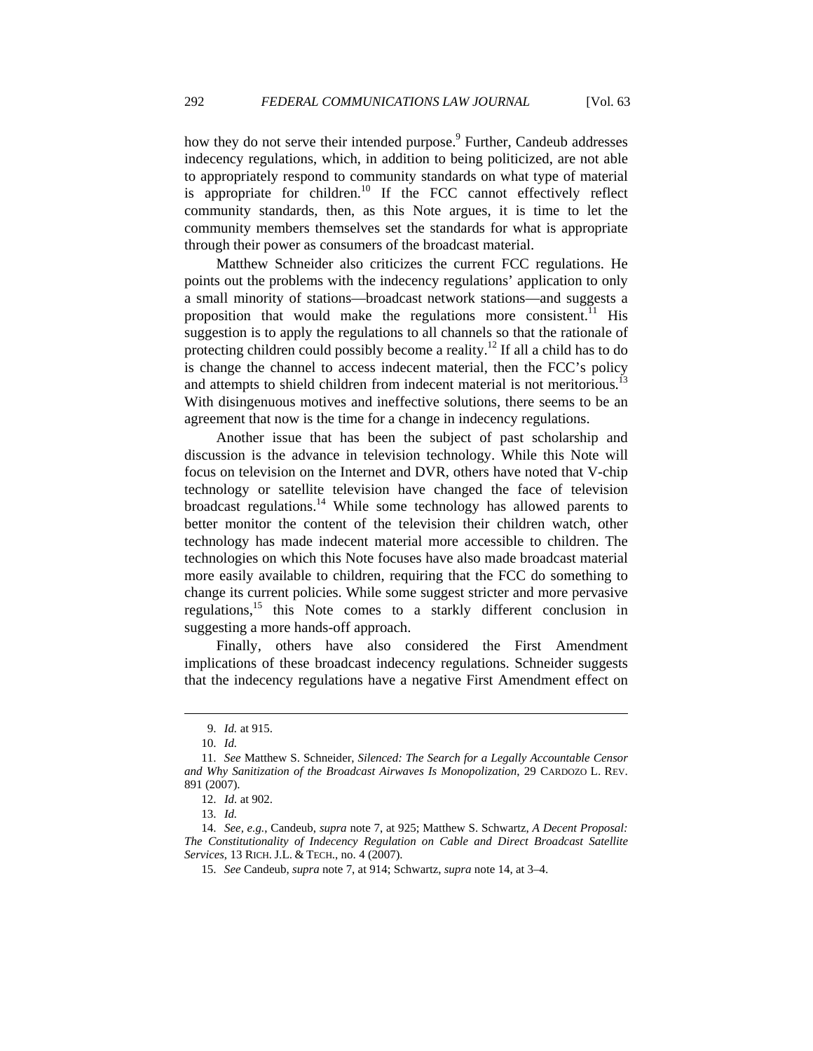how they do not serve their intended purpose.<sup>9</sup> Further, Candeub addresses indecency regulations, which, in addition to being politicized, are not able to appropriately respond to community standards on what type of material is appropriate for children.<sup>10</sup> If the FCC cannot effectively reflect community standards, then, as this Note argues, it is time to let the community members themselves set the standards for what is appropriate through their power as consumers of the broadcast material.

Matthew Schneider also criticizes the current FCC regulations. He points out the problems with the indecency regulations' application to only a small minority of stations—broadcast network stations—and suggests a proposition that would make the regulations more consistent.<sup> $11$ </sup> His suggestion is to apply the regulations to all channels so that the rationale of protecting children could possibly become a reality.<sup>12</sup> If all a child has to do is change the channel to access indecent material, then the FCC's policy and attempts to shield children from indecent material is not meritorious.<sup>13</sup> With disingenuous motives and ineffective solutions, there seems to be an agreement that now is the time for a change in indecency regulations.

Another issue that has been the subject of past scholarship and discussion is the advance in television technology. While this Note will focus on television on the Internet and DVR, others have noted that V-chip technology or satellite television have changed the face of television broadcast regulations.14 While some technology has allowed parents to better monitor the content of the television their children watch, other technology has made indecent material more accessible to children. The technologies on which this Note focuses have also made broadcast material more easily available to children, requiring that the FCC do something to change its current policies. While some suggest stricter and more pervasive regulations,<sup>15</sup> this Note comes to a starkly different conclusion in suggesting a more hands-off approach.

Finally, others have also considered the First Amendment implications of these broadcast indecency regulations. Schneider suggests that the indecency regulations have a negative First Amendment effect on

 <sup>9.</sup> *Id.* at 915.

 <sup>10.</sup> *Id.*

 <sup>11.</sup> *See* Matthew S. Schneider, *Silenced: The Search for a Legally Accountable Censor and Why Sanitization of the Broadcast Airwaves Is Monopolization*, 29 CARDOZO L. REV. 891 (2007).

 <sup>12.</sup> *Id.* at 902.

 <sup>13.</sup> *Id.*

 <sup>14.</sup> *See, e.g.*, Candeub, *supra* note 7, at 925; Matthew S. Schwartz, *A Decent Proposal: The Constitutionality of Indecency Regulation on Cable and Direct Broadcast Satellite Services*, 13 RICH. J.L. & TECH., no. 4 (2007).

 <sup>15.</sup> *See* Candeub, *supra* note 7, at 914; Schwartz, *supra* note 14, at 3–4.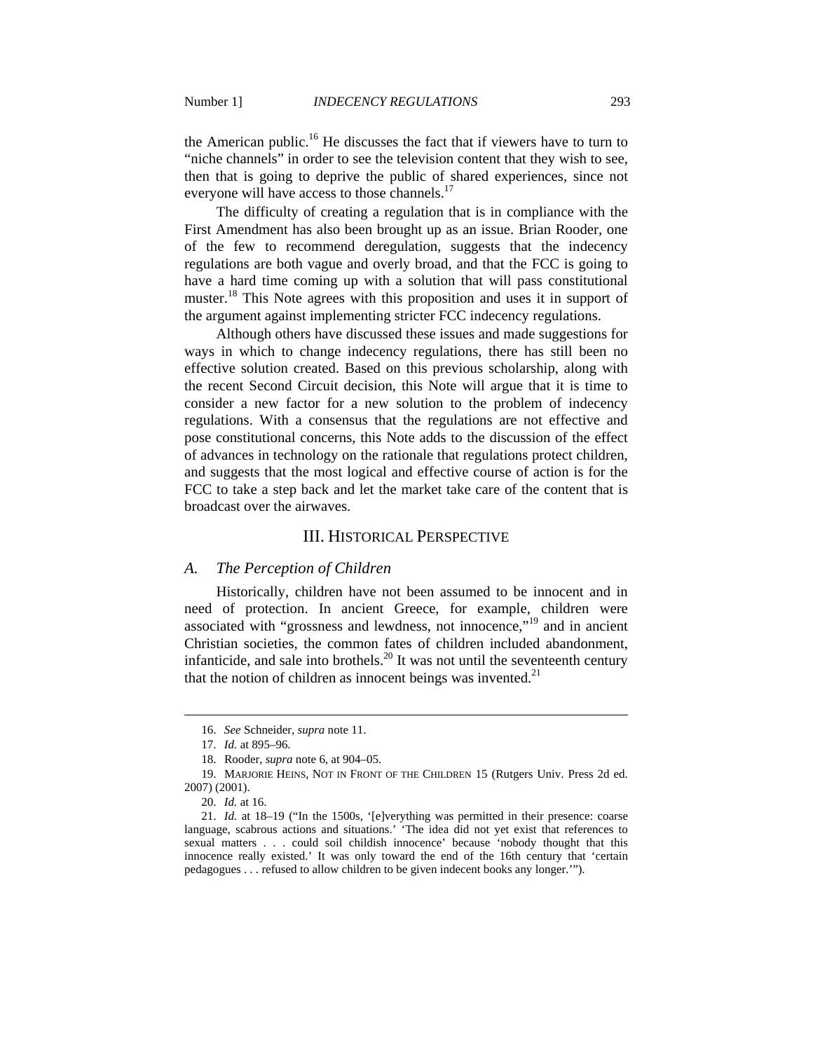the American public.<sup>16</sup> He discusses the fact that if viewers have to turn to "niche channels" in order to see the television content that they wish to see, then that is going to deprive the public of shared experiences, since not everyone will have access to those channels.<sup>17</sup>

The difficulty of creating a regulation that is in compliance with the First Amendment has also been brought up as an issue. Brian Rooder, one of the few to recommend deregulation, suggests that the indecency regulations are both vague and overly broad, and that the FCC is going to have a hard time coming up with a solution that will pass constitutional muster.<sup>18</sup> This Note agrees with this proposition and uses it in support of the argument against implementing stricter FCC indecency regulations.

Although others have discussed these issues and made suggestions for ways in which to change indecency regulations, there has still been no effective solution created. Based on this previous scholarship, along with the recent Second Circuit decision, this Note will argue that it is time to consider a new factor for a new solution to the problem of indecency regulations. With a consensus that the regulations are not effective and pose constitutional concerns, this Note adds to the discussion of the effect of advances in technology on the rationale that regulations protect children, and suggests that the most logical and effective course of action is for the FCC to take a step back and let the market take care of the content that is broadcast over the airwaves.

#### III. HISTORICAL PERSPECTIVE

#### *A. The Perception of Children*

Historically, children have not been assumed to be innocent and in need of protection. In ancient Greece, for example, children were associated with "grossness and lewdness, not innocence,"<sup>19</sup> and in ancient Christian societies, the common fates of children included abandonment, infanticide, and sale into brothels.<sup>20</sup> It was not until the seventeenth century that the notion of children as innocent beings was invented. $2<sup>1</sup>$ 

 <sup>16.</sup> *See* Schneider, *supra* note 11.

 <sup>17.</sup> *Id.* at 895–96.

 <sup>18.</sup> Rooder, *supra* note 6, at 904–05.

 <sup>19.</sup> MARJORIE HEINS, NOT IN FRONT OF THE CHILDREN 15 (Rutgers Univ. Press 2d ed. 2007) (2001).

 <sup>20.</sup> *Id.* at 16.

 <sup>21.</sup> *Id.* at 18–19 ("In the 1500s, '[e]verything was permitted in their presence: coarse language, scabrous actions and situations.' 'The idea did not yet exist that references to sexual matters . . . could soil childish innocence' because 'nobody thought that this innocence really existed.' It was only toward the end of the 16th century that 'certain pedagogues . . . refused to allow children to be given indecent books any longer.'").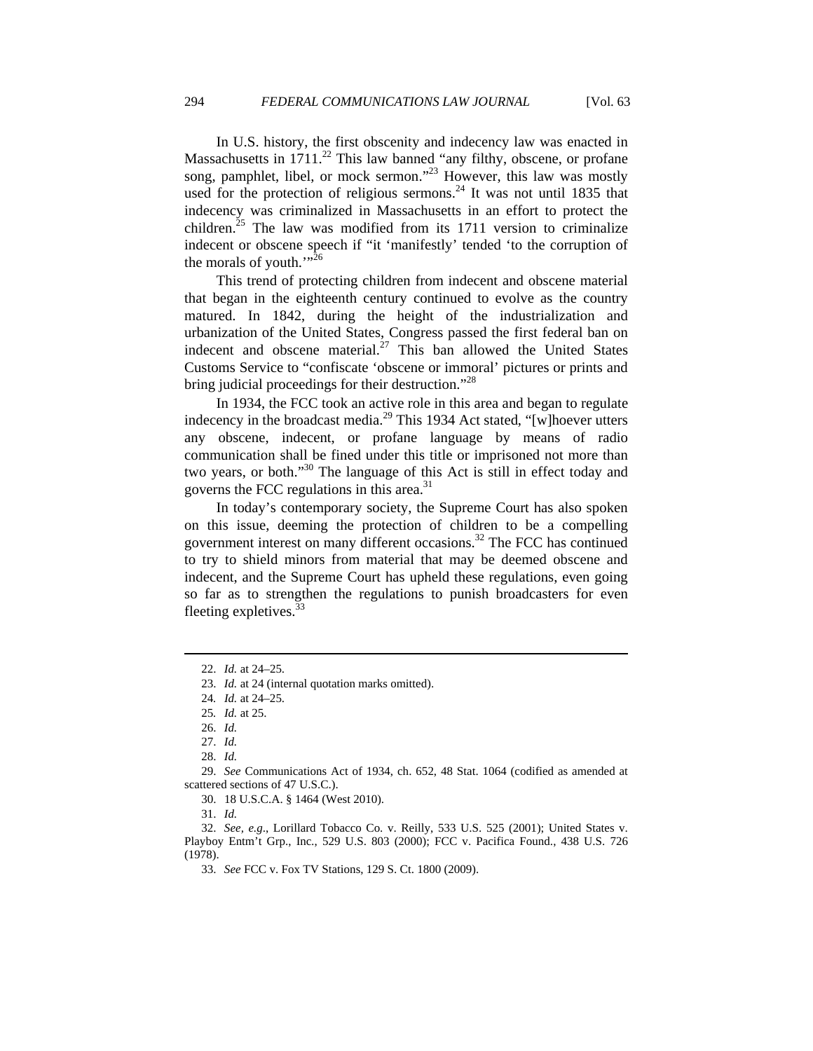In U.S. history, the first obscenity and indecency law was enacted in Massachusetts in  $1711<sup>22</sup>$  This law banned "any filthy, obscene, or profane song, pamphlet, libel, or mock sermon."<sup>23</sup> However, this law was mostly used for the protection of religious sermons.<sup>24</sup> It was not until 1835 that indecency was criminalized in Massachusetts in an effort to protect the children.<sup>25</sup> The law was modified from its 1711 version to criminalize indecent or obscene speech if "it 'manifestly' tended 'to the corruption of the morals of youth."<sup>26</sup>

This trend of protecting children from indecent and obscene material that began in the eighteenth century continued to evolve as the country matured. In 1842, during the height of the industrialization and urbanization of the United States, Congress passed the first federal ban on indecent and obscene material.<sup>27</sup> This ban allowed the United States Customs Service to "confiscate 'obscene or immoral' pictures or prints and bring judicial proceedings for their destruction."<sup>28</sup>

In 1934, the FCC took an active role in this area and began to regulate indecency in the broadcast media.<sup>29</sup> This 1934 Act stated, "[w]hoever utters any obscene, indecent, or profane language by means of radio communication shall be fined under this title or imprisoned not more than two years, or both."30 The language of this Act is still in effect today and governs the FCC regulations in this area. $31$ 

In today's contemporary society, the Supreme Court has also spoken on this issue, deeming the protection of children to be a compelling government interest on many different occasions.32 The FCC has continued to try to shield minors from material that may be deemed obscene and indecent, and the Supreme Court has upheld these regulations, even going so far as to strengthen the regulations to punish broadcasters for even fleeting expletives. $33$ 

 $\overline{a}$ 

28. *Id.*

 <sup>22.</sup> *Id.* at 24–25.

 <sup>23.</sup> *Id.* at 24 (internal quotation marks omitted).

<sup>24</sup>*. Id.* at 24–25.

<sup>25</sup>*. Id.* at 25.

 <sup>26.</sup> *Id.*

 <sup>27.</sup> *Id.*

 <sup>29.</sup> *See* Communications Act of 1934, ch. 652, 48 Stat. 1064 (codified as amended at scattered sections of 47 U.S.C.).

 <sup>30. 18</sup> U.S.C.A. § 1464 (West 2010).

 <sup>31.</sup> *Id.*

 <sup>32.</sup> *See, e.g*., Lorillard Tobacco Co. v. Reilly, 533 U.S. 525 (2001); United States v. Playboy Entm't Grp., Inc*.*, 529 U.S. 803 (2000); FCC v. Pacifica Found., 438 U.S. 726 (1978).

 <sup>33.</sup> *See* FCC v. Fox TV Stations, 129 S. Ct. 1800 (2009).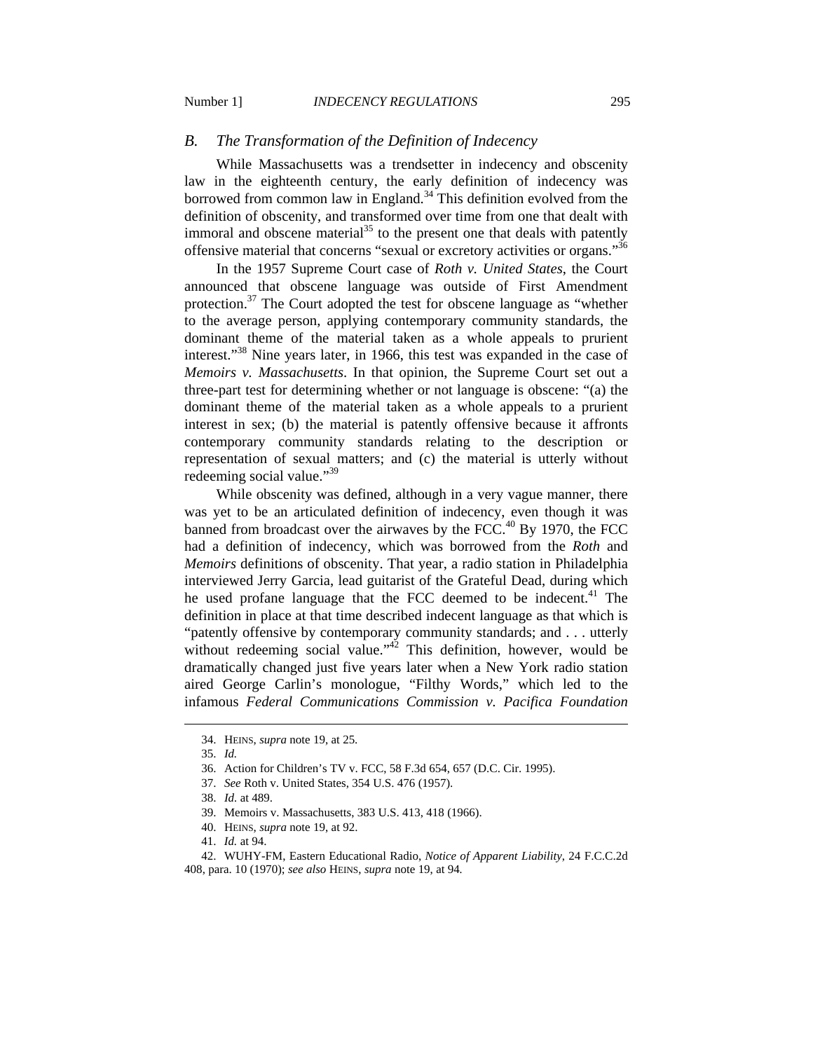#### *B. The Transformation of the Definition of Indecency*

While Massachusetts was a trendsetter in indecency and obscenity law in the eighteenth century, the early definition of indecency was borrowed from common law in England.<sup>34</sup> This definition evolved from the definition of obscenity, and transformed over time from one that dealt with immoral and obscene material<sup>35</sup> to the present one that deals with patently offensive material that concerns "sexual or excretory activities or organs."36

In the 1957 Supreme Court case of *Roth v. United States*, the Court announced that obscene language was outside of First Amendment protection.<sup>37</sup> The Court adopted the test for obscene language as "whether to the average person, applying contemporary community standards, the dominant theme of the material taken as a whole appeals to prurient interest."<sup>38</sup> Nine years later, in 1966, this test was expanded in the case of *Memoirs v. Massachusetts*. In that opinion, the Supreme Court set out a three-part test for determining whether or not language is obscene: "(a) the dominant theme of the material taken as a whole appeals to a prurient interest in sex; (b) the material is patently offensive because it affronts contemporary community standards relating to the description or representation of sexual matters; and (c) the material is utterly without redeeming social value."<sup>39</sup>

While obscenity was defined, although in a very vague manner, there was yet to be an articulated definition of indecency, even though it was banned from broadcast over the airwaves by the FCC.<sup>40</sup> By 1970, the FCC had a definition of indecency, which was borrowed from the *Roth* and *Memoirs* definitions of obscenity. That year, a radio station in Philadelphia interviewed Jerry Garcia, lead guitarist of the Grateful Dead, during which he used profane language that the FCC deemed to be indecent.<sup>41</sup> The definition in place at that time described indecent language as that which is "patently offensive by contemporary community standards; and . . . utterly without redeeming social value."<sup>42</sup> This definition, however, would be dramatically changed just five years later when a New York radio station aired George Carlin's monologue, "Filthy Words," which led to the infamous *Federal Communications Commission v. Pacifica Foundation*

- 39. Memoirs v. Massachusetts, 383 U.S. 413, 418 (1966).
- 40. HEINS, *supra* note 19, at 92.

 <sup>34.</sup> HEINS, *supra* note 19, at 25.

 <sup>35.</sup> *Id.*

 <sup>36.</sup> Action for Children's TV v. FCC, 58 F.3d 654, 657 (D.C. Cir. 1995).

 <sup>37.</sup> *See* Roth v. United States, 354 U.S. 476 (1957).

 <sup>38.</sup> *Id.* at 489.

 <sup>41.</sup> *Id.* at 94.

 <sup>42.</sup> WUHY-FM, Eastern Educational Radio, *Notice of Apparent Liability*, 24 F.C.C.2d 408, para. 10 (1970); *see also* HEINS, *supra* note 19, at 94*.*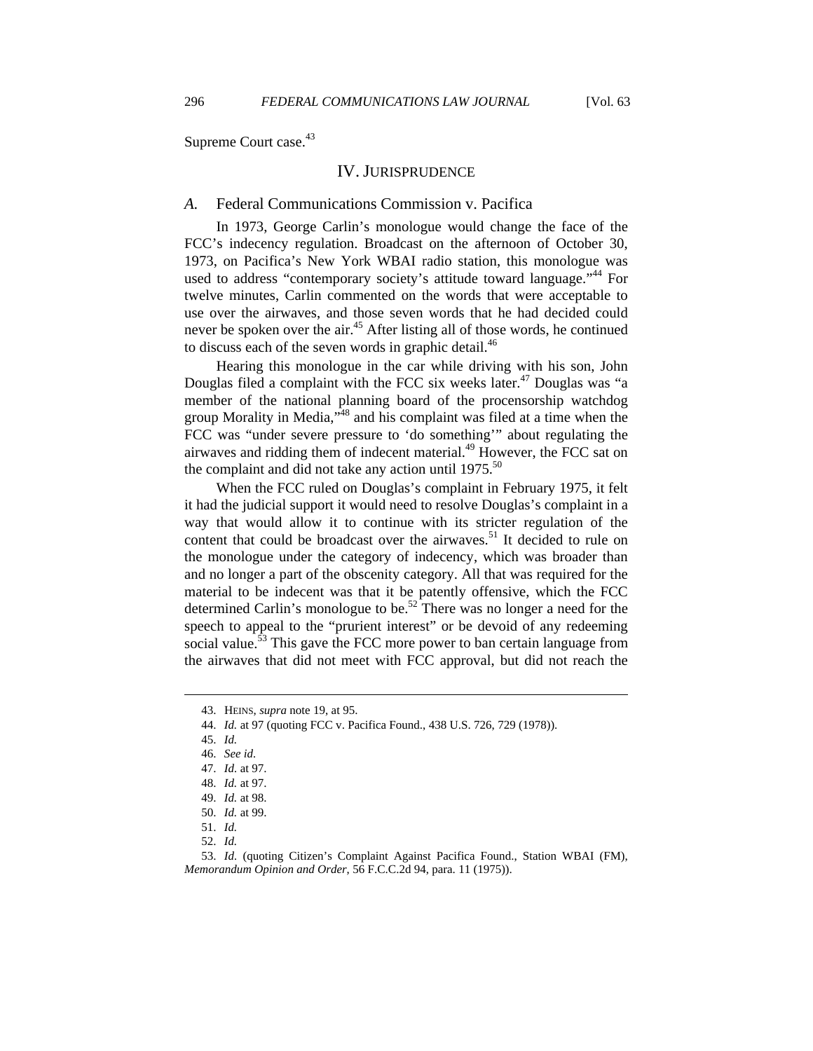Supreme Court case.<sup>43</sup>

#### IV. JURISPRUDENCE

#### *A.* Federal Communications Commission v. Pacifica

In 1973, George Carlin's monologue would change the face of the FCC's indecency regulation. Broadcast on the afternoon of October 30, 1973, on Pacifica's New York WBAI radio station, this monologue was used to address "contemporary society's attitude toward language."<sup>44</sup> For twelve minutes, Carlin commented on the words that were acceptable to use over the airwaves, and those seven words that he had decided could never be spoken over the air.<sup>45</sup> After listing all of those words, he continued to discuss each of the seven words in graphic detail. $46$ 

Hearing this monologue in the car while driving with his son, John Douglas filed a complaint with the FCC six weeks later.<sup>47</sup> Douglas was "a member of the national planning board of the procensorship watchdog group Morality in Media, $^{348}$  and his complaint was filed at a time when the FCC was "under severe pressure to 'do something'" about regulating the airwaves and ridding them of indecent material.<sup>49</sup> However, the FCC sat on the complaint and did not take any action until  $1975$ <sup>50</sup>

When the FCC ruled on Douglas's complaint in February 1975, it felt it had the judicial support it would need to resolve Douglas's complaint in a way that would allow it to continue with its stricter regulation of the content that could be broadcast over the airwaves.<sup>51</sup> It decided to rule on the monologue under the category of indecency, which was broader than and no longer a part of the obscenity category. All that was required for the material to be indecent was that it be patently offensive, which the FCC determined Carlin's monologue to be.<sup>52</sup> There was no longer a need for the speech to appeal to the "prurient interest" or be devoid of any redeeming social value.<sup>53</sup> This gave the FCC more power to ban certain language from the airwaves that did not meet with FCC approval, but did not reach the

 <sup>43.</sup> HEINS, *supra* note 19, at 95.

 <sup>44.</sup> *Id.* at 97 (quoting FCC v. Pacifica Found., 438 U.S. 726, 729 (1978)).

 <sup>45.</sup> *Id.*

 <sup>46.</sup> *See id.*

 <sup>47.</sup> *Id.* at 97.

 <sup>48.</sup> *Id.* at 97.

 <sup>49.</sup> *Id.* at 98.

 <sup>50.</sup> *Id.* at 99.

 <sup>51.</sup> *Id.*

 <sup>52.</sup> *Id.*

 <sup>53.</sup> *Id.* (quoting Citizen's Complaint Against Pacifica Found., Station WBAI (FM), *Memorandum Opinion and Order*, 56 F.C.C.2d 94, para. 11 (1975)).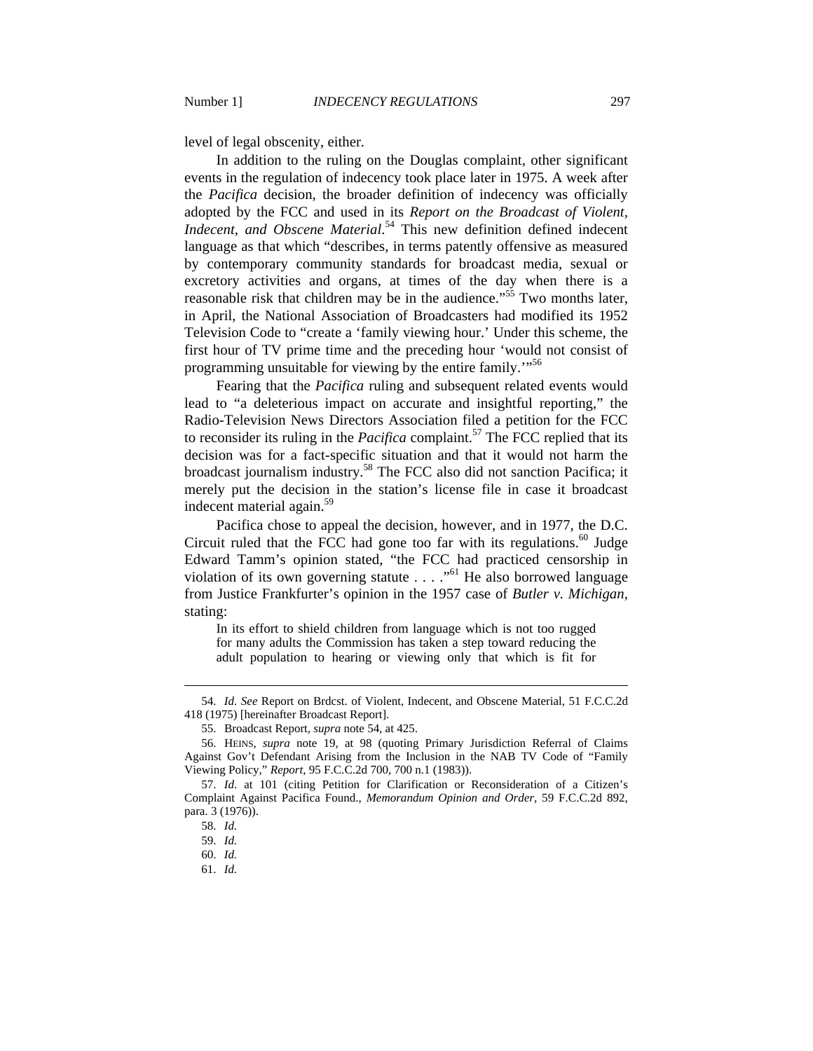level of legal obscenity, either.

In addition to the ruling on the Douglas complaint, other significant events in the regulation of indecency took place later in 1975. A week after the *Pacifica* decision, the broader definition of indecency was officially adopted by the FCC and used in its *Report on the Broadcast of Violent, Indecent, and Obscene Material*. 54 This new definition defined indecent language as that which "describes, in terms patently offensive as measured by contemporary community standards for broadcast media, sexual or excretory activities and organs, at times of the day when there is a reasonable risk that children may be in the audience."<sup>55</sup> Two months later. in April, the National Association of Broadcasters had modified its 1952 Television Code to "create a 'family viewing hour.' Under this scheme, the first hour of TV prime time and the preceding hour 'would not consist of programming unsuitable for viewing by the entire family."<sup>56</sup>

Fearing that the *Pacifica* ruling and subsequent related events would lead to "a deleterious impact on accurate and insightful reporting," the Radio-Television News Directors Association filed a petition for the FCC to reconsider its ruling in the *Pacifica* complaint.<sup>57</sup> The FCC replied that its decision was for a fact-specific situation and that it would not harm the broadcast journalism industry.58 The FCC also did not sanction Pacifica; it merely put the decision in the station's license file in case it broadcast indecent material again.<sup>59</sup>

Pacifica chose to appeal the decision, however, and in 1977, the D.C. Circuit ruled that the FCC had gone too far with its regulations.<sup>60</sup> Judge Edward Tamm's opinion stated, "the FCC had practiced censorship in violation of its own governing statute  $\ldots$  ."<sup>61</sup> He also borrowed language from Justice Frankfurter's opinion in the 1957 case of *Butler v. Michigan*, stating:

In its effort to shield children from language which is not too rugged for many adults the Commission has taken a step toward reducing the adult population to hearing or viewing only that which is fit for

 <sup>54.</sup> *Id. See* Report on Brdcst. of Violent, Indecent, and Obscene Material, 51 F.C.C.2d 418 (1975) [hereinafter Broadcast Report].

 <sup>55.</sup> Broadcast Report, *supra* note 54, at 425.

 <sup>56.</sup> HEINS, *supra* note 19, at 98 (quoting Primary Jurisdiction Referral of Claims Against Gov't Defendant Arising from the Inclusion in the NAB TV Code of "Family Viewing Policy," *Report*, 95 F.C.C.2d 700, 700 n.1 (1983)).

 <sup>57.</sup> *Id.* at 101 (citing Petition for Clarification or Reconsideration of a Citizen's Complaint Against Pacifica Found., *Memorandum Opinion and Order*, 59 F.C.C.2d 892, para. 3 (1976)).

 <sup>58.</sup> *Id.*

 <sup>59.</sup> *Id.*

 <sup>60.</sup> *Id.*

 <sup>61.</sup> *Id.*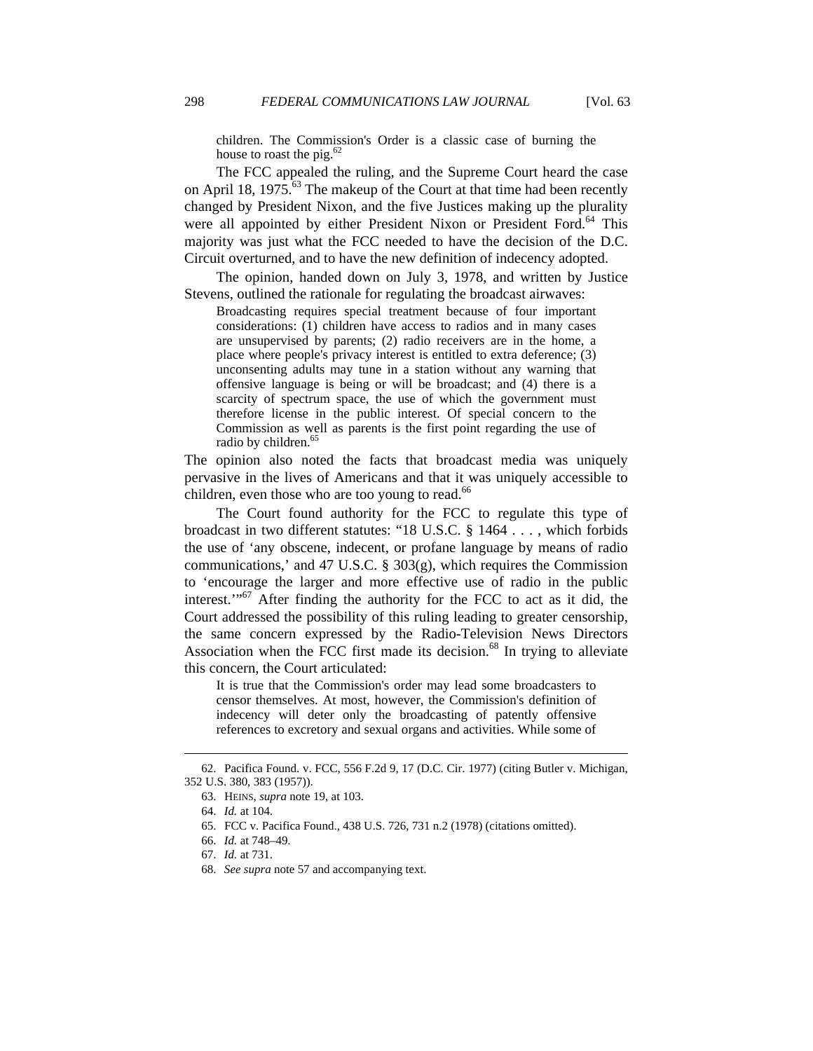children. The Commission's Order is a classic case of burning the house to roast the pig. $62$ 

The FCC appealed the ruling, and the Supreme Court heard the case on April 18, 1975.<sup>63</sup> The makeup of the Court at that time had been recently changed by President Nixon, and the five Justices making up the plurality were all appointed by either President Nixon or President Ford.<sup>64</sup> This majority was just what the FCC needed to have the decision of the D.C. Circuit overturned, and to have the new definition of indecency adopted.

The opinion, handed down on July 3, 1978, and written by Justice Stevens, outlined the rationale for regulating the broadcast airwaves:

Broadcasting requires special treatment because of four important considerations: (1) children have access to radios and in many cases are unsupervised by parents; (2) radio receivers are in the home, a place where people's privacy interest is entitled to extra deference; (3) unconsenting adults may tune in a station without any warning that offensive language is being or will be broadcast; and (4) there is a scarcity of spectrum space, the use of which the government must therefore license in the public interest. Of special concern to the Commission as well as parents is the first point regarding the use of radio by children.<sup>65</sup>

The opinion also noted the facts that broadcast media was uniquely pervasive in the lives of Americans and that it was uniquely accessible to children, even those who are too young to read.<sup>66</sup>

The Court found authority for the FCC to regulate this type of broadcast in two different statutes: "18 U.S.C. § 1464 . . . , which forbids the use of 'any obscene, indecent, or profane language by means of radio communications,' and 47 U.S.C.  $\S$  303(g), which requires the Commission to 'encourage the larger and more effective use of radio in the public interest."<sup>67</sup> After finding the authority for the FCC to act as it did, the Court addressed the possibility of this ruling leading to greater censorship, the same concern expressed by the Radio-Television News Directors Association when the FCC first made its decision. $68$  In trying to alleviate this concern, the Court articulated:

It is true that the Commission's order may lead some broadcasters to censor themselves. At most, however, the Commission's definition of indecency will deter only the broadcasting of patently offensive references to excretory and sexual organs and activities. While some of

 <sup>62.</sup> Pacifica Found. v. FCC, 556 F.2d 9, 17 (D.C. Cir. 1977) (citing Butler v. Michigan, 352 U.S. 380, 383 (1957)).

 <sup>63.</sup> HEINS, *supra* note 19, at 103.

 <sup>64.</sup> *Id.* at 104.

 <sup>65.</sup> FCC v. Pacifica Found., 438 U.S. 726, 731 n.2 (1978) (citations omitted).

 <sup>66.</sup> *Id.* at 748–49.

 <sup>67.</sup> *Id.* at 731.

 <sup>68.</sup> *See supra* note 57 and accompanying text.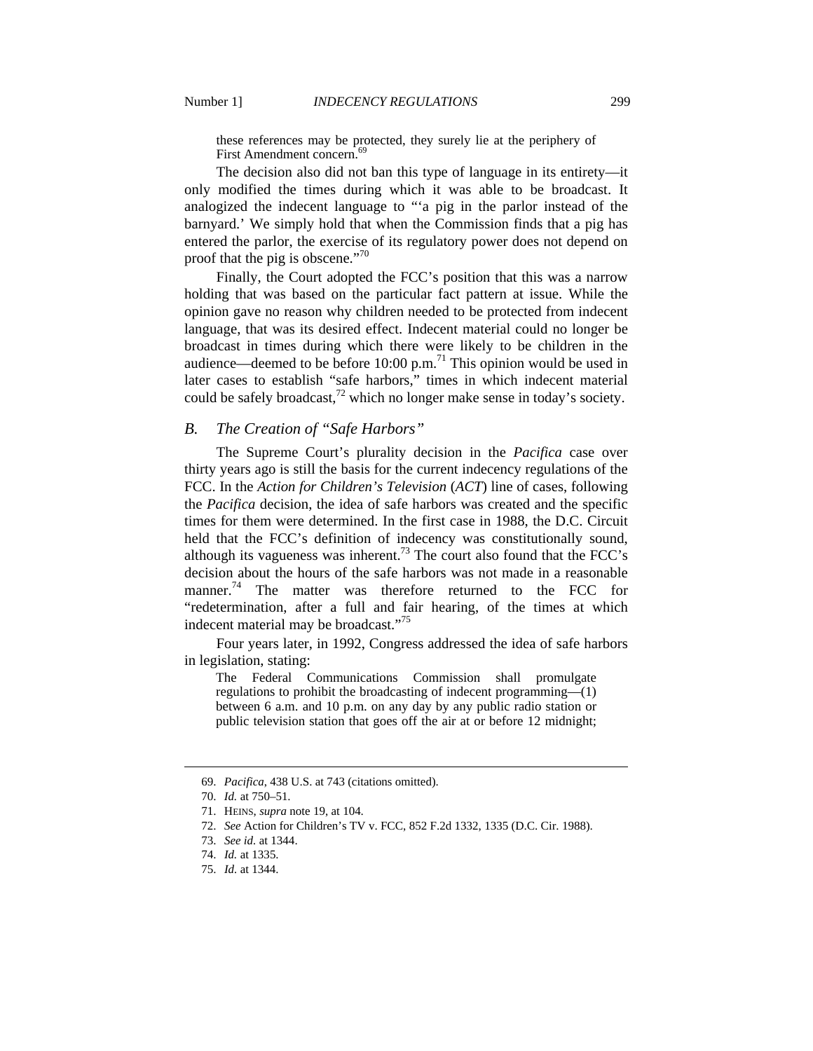these references may be protected, they surely lie at the periphery of First Amendment concern.<sup>6</sup>

The decision also did not ban this type of language in its entirety—it only modified the times during which it was able to be broadcast. It analogized the indecent language to "'a pig in the parlor instead of the barnyard.' We simply hold that when the Commission finds that a pig has entered the parlor, the exercise of its regulatory power does not depend on proof that the pig is obscene."<sup>70</sup>

Finally, the Court adopted the FCC's position that this was a narrow holding that was based on the particular fact pattern at issue. While the opinion gave no reason why children needed to be protected from indecent language, that was its desired effect. Indecent material could no longer be broadcast in times during which there were likely to be children in the audience—deemed to be before  $10:00$  p.m.<sup>71</sup> This opinion would be used in later cases to establish "safe harbors," times in which indecent material could be safely broadcast,<sup>72</sup> which no longer make sense in today's society.

#### *B. The Creation of "Safe Harbors"*

The Supreme Court's plurality decision in the *Pacifica* case over thirty years ago is still the basis for the current indecency regulations of the FCC. In the *Action for Children's Television* (*ACT*) line of cases, following the *Pacifica* decision, the idea of safe harbors was created and the specific times for them were determined. In the first case in 1988, the D.C. Circuit held that the FCC's definition of indecency was constitutionally sound, although its vagueness was inherent.<sup>73</sup> The court also found that the FCC's decision about the hours of the safe harbors was not made in a reasonable manner.<sup>74</sup> The matter was therefore returned to the FCC for "redetermination, after a full and fair hearing, of the times at which indecent material may be broadcast."<sup>75</sup>

Four years later, in 1992, Congress addressed the idea of safe harbors in legislation, stating:

The Federal Communications Commission shall promulgate regulations to prohibit the broadcasting of indecent programming—(1) between 6 a.m. and 10 p.m. on any day by any public radio station or public television station that goes off the air at or before 12 midnight;

 <sup>69.</sup> *Pacifica*, 438 U.S. at 743 (citations omitted).

 <sup>70.</sup> *Id.* at 750–51.

 <sup>71.</sup> HEINS, *supra* note 19, at 104.

 <sup>72.</sup> *See* Action for Children's TV v. FCC, 852 F.2d 1332, 1335 (D.C. Cir. 1988).

 <sup>73.</sup> *See id.* at 1344.

 <sup>74.</sup> *Id.* at 1335.

 <sup>75.</sup> *Id.* at 1344.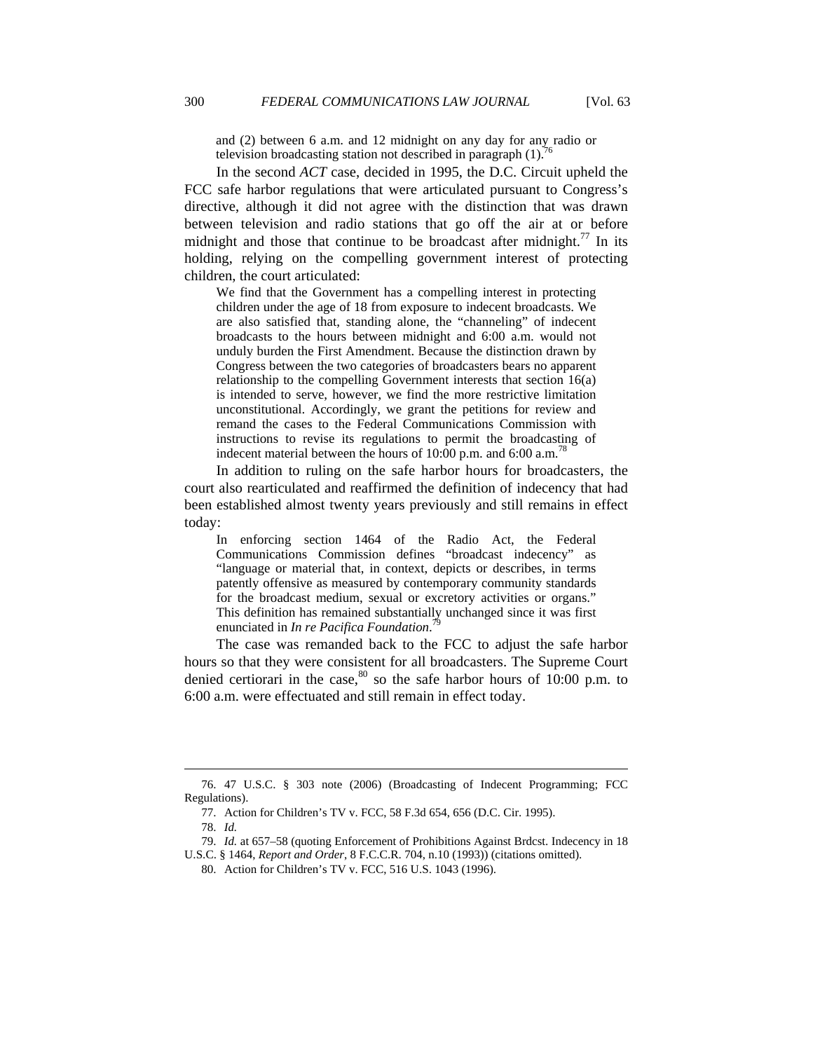and (2) between 6 a.m. and 12 midnight on any day for any radio or television broadcasting station not described in paragraph  $(1)$ .

In the second *ACT* case, decided in 1995, the D.C. Circuit upheld the FCC safe harbor regulations that were articulated pursuant to Congress's directive, although it did not agree with the distinction that was drawn between television and radio stations that go off the air at or before midnight and those that continue to be broadcast after midnight.<sup>77</sup> In its holding, relying on the compelling government interest of protecting children, the court articulated:

We find that the Government has a compelling interest in protecting children under the age of 18 from exposure to indecent broadcasts. We are also satisfied that, standing alone, the "channeling" of indecent broadcasts to the hours between midnight and 6:00 a.m. would not unduly burden the First Amendment. Because the distinction drawn by Congress between the two categories of broadcasters bears no apparent relationship to the compelling Government interests that section 16(a) is intended to serve, however, we find the more restrictive limitation unconstitutional. Accordingly, we grant the petitions for review and remand the cases to the Federal Communications Commission with instructions to revise its regulations to permit the broadcasting of indecent material between the hours of 10:00 p.m. and 6:00 a.m.<sup>78</sup>

In addition to ruling on the safe harbor hours for broadcasters, the court also rearticulated and reaffirmed the definition of indecency that had been established almost twenty years previously and still remains in effect today:

In enforcing section 1464 of the Radio Act, the Federal Communications Commission defines "broadcast indecency" as "language or material that, in context, depicts or describes, in terms patently offensive as measured by contemporary community standards for the broadcast medium, sexual or excretory activities or organs." This definition has remained substantially unchanged since it was first enunciated in *In re Pacifica Foundation*. 79

The case was remanded back to the FCC to adjust the safe harbor hours so that they were consistent for all broadcasters. The Supreme Court denied certiorari in the case,  $80$  so the safe harbor hours of 10:00 p.m. to 6:00 a.m. were effectuated and still remain in effect today.

 <sup>76. 47</sup> U.S.C. § 303 note (2006) (Broadcasting of Indecent Programming; FCC Regulations).

 <sup>77.</sup> Action for Children's TV v. FCC, 58 F.3d 654, 656 (D.C. Cir. 1995).

 <sup>78.</sup> *Id.*

 <sup>79.</sup> *Id.* at 657–58 (quoting Enforcement of Prohibitions Against Brdcst. Indecency in 18

U.S.C. § 1464, *Report and Order*, 8 F.C.C.R. 704, n.10 (1993)) (citations omitted).

 <sup>80.</sup> Action for Children's TV v. FCC, 516 U.S. 1043 (1996).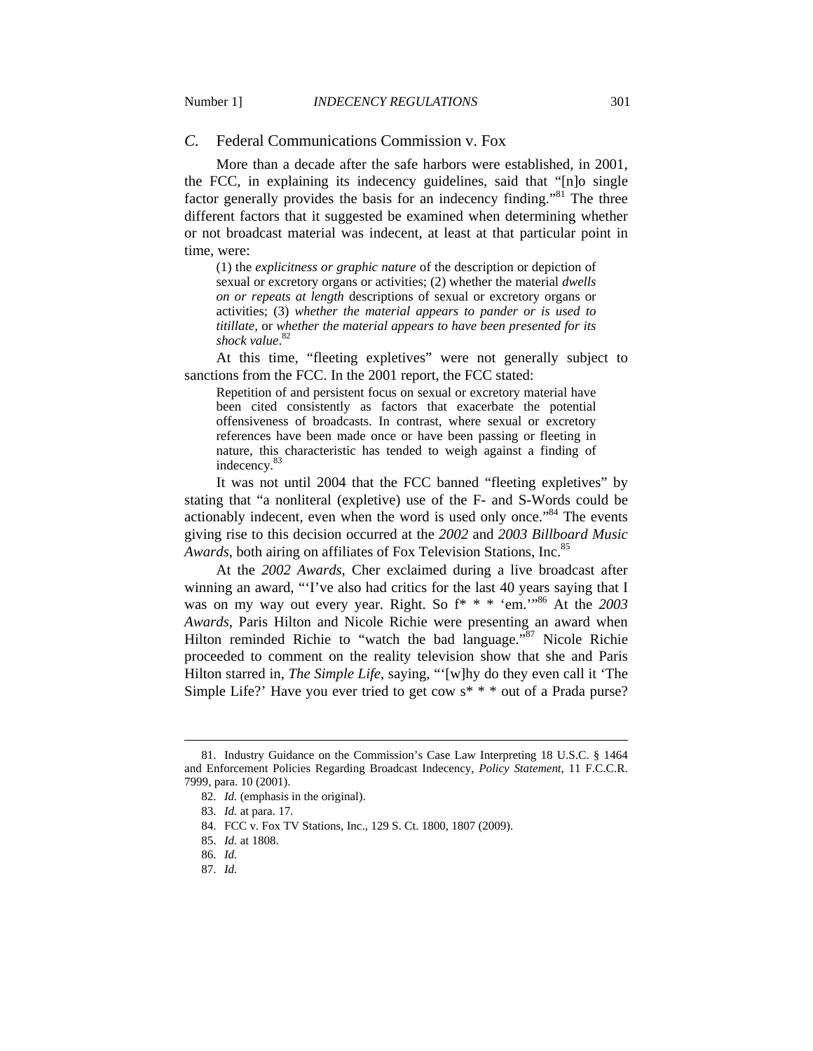#### *C.* Federal Communications Commission v. Fox

More than a decade after the safe harbors were established, in 2001, the FCC, in explaining its indecency guidelines, said that "[n]o single factor generally provides the basis for an indecency finding."<sup>81</sup> The three different factors that it suggested be examined when determining whether or not broadcast material was indecent, at least at that particular point in time, were:

(1) the *explicitness or graphic nature* of the description or depiction of sexual or excretory organs or activities; (2) whether the material *dwells on or repeats at length* descriptions of sexual or excretory organs or activities; (3) *whether the material appears to pander or is used to titillate*, or *whether the material appears to have been presented for its shock value*. 82

At this time, "fleeting expletives" were not generally subject to sanctions from the FCC. In the 2001 report, the FCC stated:

Repetition of and persistent focus on sexual or excretory material have been cited consistently as factors that exacerbate the potential offensiveness of broadcasts. In contrast, where sexual or excretory references have been made once or have been passing or fleeting in nature, this characteristic has tended to weigh against a finding of indecency.<sup>83</sup>

It was not until 2004 that the FCC banned "fleeting expletives" by stating that "a nonliteral (expletive) use of the F- and S-Words could be actionably indecent, even when the word is used only once."<sup>84</sup> The events giving rise to this decision occurred at the *2002* and *2003 Billboard Music Awards*, both airing on affiliates of Fox Television Stations, Inc.<sup>85</sup>

At the *2002 Awards*, Cher exclaimed during a live broadcast after winning an award, "'I've also had critics for the last 40 years saying that I was on my way out every year. Right. So f\* \* \* 'em.'"86 At the *2003 Awards*, Paris Hilton and Nicole Richie were presenting an award when Hilton reminded Richie to "watch the bad language."<sup>87</sup> Nicole Richie proceeded to comment on the reality television show that she and Paris Hilton starred in, *The Simple Life*, saying, "'[w]hy do they even call it 'The Simple Life?' Have you ever tried to get cow  $s^* * *$  out of a Prada purse?

 <sup>81.</sup> Industry Guidance on the Commission's Case Law Interpreting 18 U.S.C. § 1464 and Enforcement Policies Regarding Broadcast Indecency, *Policy Statement*, 11 F.C.C.R. 7999, para. 10 (2001).

 <sup>82.</sup> *Id.* (emphasis in the original).

 <sup>83.</sup> *Id.* at para. 17.

 <sup>84.</sup> FCC v. Fox TV Stations, Inc., 129 S. Ct. 1800, 1807 (2009).

 <sup>85.</sup> *Id.* at 1808.

 <sup>86.</sup> *Id.*

 <sup>87.</sup> *Id.*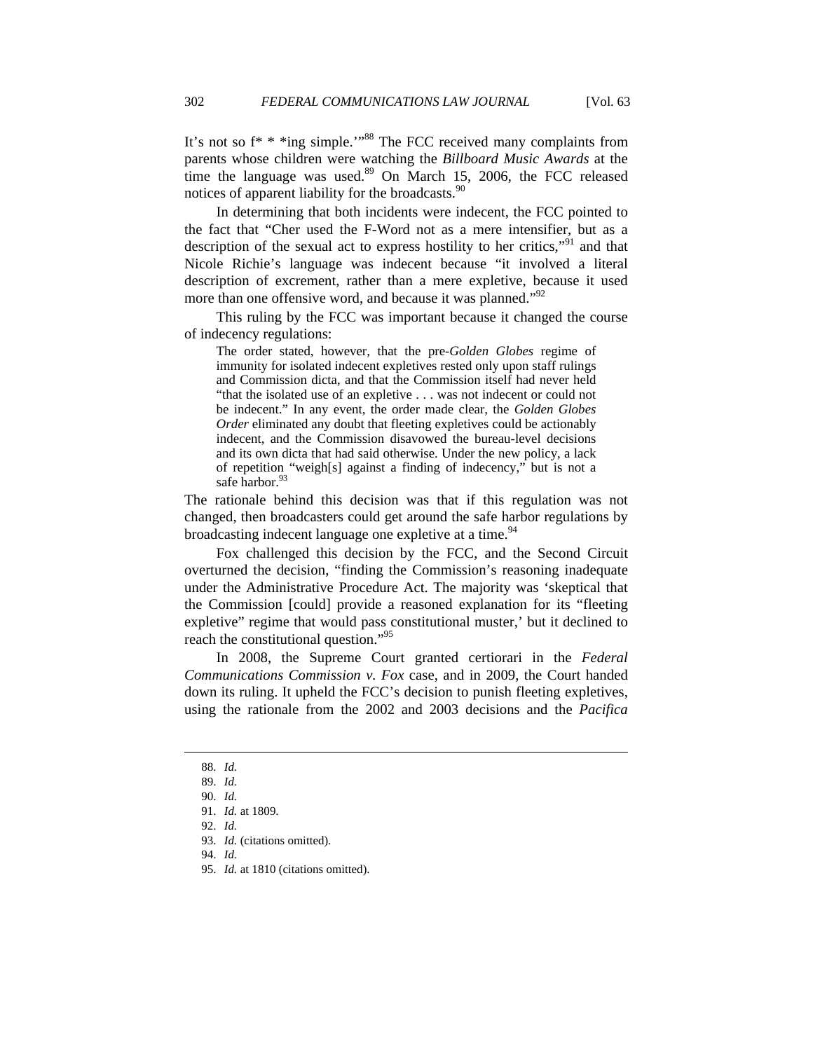It's not so  $f^*$  \* \*ing simple.'"<sup>88</sup> The FCC received many complaints from parents whose children were watching the *Billboard Music Awards* at the time the language was used. $89$  On March 15, 2006, the FCC released notices of apparent liability for the broadcasts.<sup>90</sup>

In determining that both incidents were indecent, the FCC pointed to the fact that "Cher used the F-Word not as a mere intensifier, but as a description of the sexual act to express hostility to her critics,"<sup>91</sup> and that Nicole Richie's language was indecent because "it involved a literal description of excrement, rather than a mere expletive, because it used more than one offensive word, and because it was planned."<sup>92</sup>

This ruling by the FCC was important because it changed the course of indecency regulations:

The order stated, however, that the pre-*Golden Globes* regime of immunity for isolated indecent expletives rested only upon staff rulings and Commission dicta, and that the Commission itself had never held "that the isolated use of an expletive . . . was not indecent or could not be indecent." In any event, the order made clear, the *Golden Globes Order* eliminated any doubt that fleeting expletives could be actionably indecent, and the Commission disavowed the bureau-level decisions and its own dicta that had said otherwise. Under the new policy, a lack of repetition "weigh[s] against a finding of indecency," but is not a safe harbor.<sup>93</sup>

The rationale behind this decision was that if this regulation was not changed, then broadcasters could get around the safe harbor regulations by broadcasting indecent language one expletive at a time.<sup>94</sup>

Fox challenged this decision by the FCC, and the Second Circuit overturned the decision, "finding the Commission's reasoning inadequate under the Administrative Procedure Act. The majority was 'skeptical that the Commission [could] provide a reasoned explanation for its "fleeting expletive" regime that would pass constitutional muster,' but it declined to reach the constitutional question."<sup>95</sup>

In 2008, the Supreme Court granted certiorari in the *Federal Communications Commission v. Fox* case, and in 2009, the Court handed down its ruling. It upheld the FCC's decision to punish fleeting expletives, using the rationale from the 2002 and 2003 decisions and the *Pacifica*

 $\overline{a}$ 

94. *Id.*

 <sup>88.</sup> *Id.*

 <sup>89.</sup> *Id.*

 <sup>90.</sup> *Id.*

 <sup>91.</sup> *Id.* at 1809.

 <sup>92.</sup> *Id.*

 <sup>93.</sup> *Id.* (citations omitted).

 <sup>95.</sup> *Id.* at 1810 (citations omitted).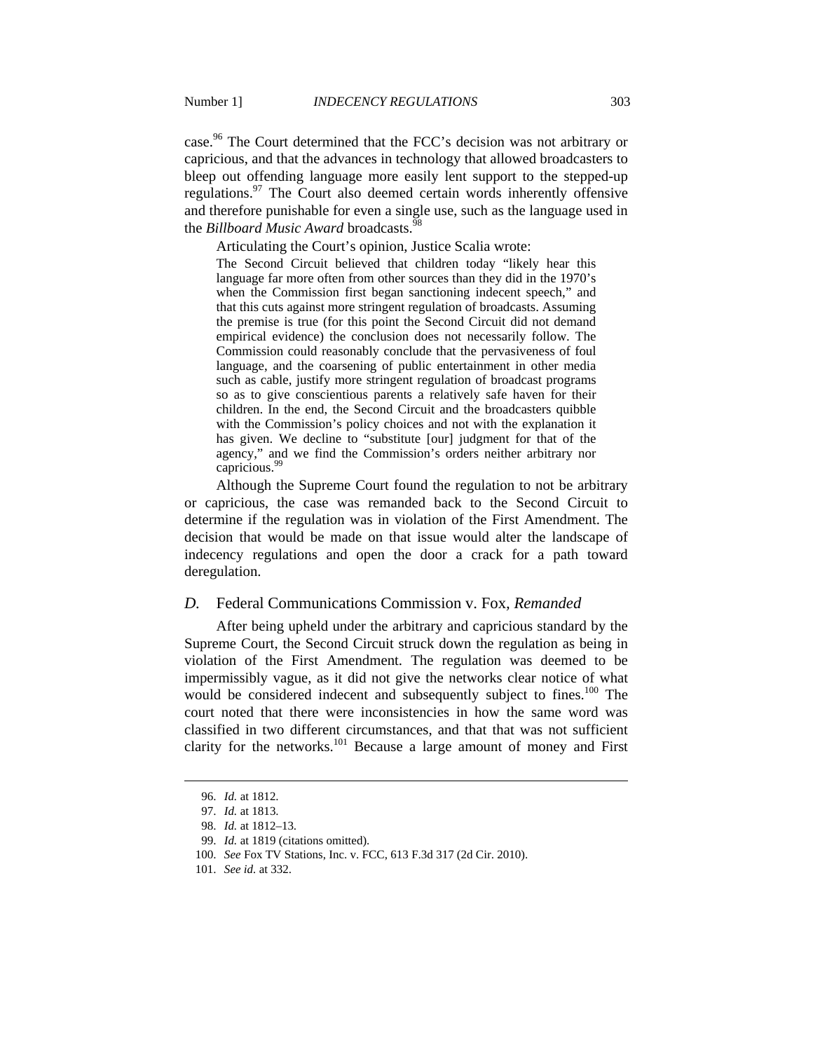case.<sup>96</sup> The Court determined that the FCC's decision was not arbitrary or capricious, and that the advances in technology that allowed broadcasters to bleep out offending language more easily lent support to the stepped-up regulations.<sup>97</sup> The Court also deemed certain words inherently offensive and therefore punishable for even a single use, such as the language used in the *Billboard Music Award* broadcasts.<sup>98</sup>

Articulating the Court's opinion, Justice Scalia wrote:

The Second Circuit believed that children today "likely hear this language far more often from other sources than they did in the 1970's when the Commission first began sanctioning indecent speech," and that this cuts against more stringent regulation of broadcasts. Assuming the premise is true (for this point the Second Circuit did not demand empirical evidence) the conclusion does not necessarily follow. The Commission could reasonably conclude that the pervasiveness of foul language, and the coarsening of public entertainment in other media such as cable, justify more stringent regulation of broadcast programs so as to give conscientious parents a relatively safe haven for their children. In the end, the Second Circuit and the broadcasters quibble with the Commission's policy choices and not with the explanation it has given. We decline to "substitute [our] judgment for that of the agency," and we find the Commission's orders neither arbitrary nor capricious.99

Although the Supreme Court found the regulation to not be arbitrary or capricious, the case was remanded back to the Second Circuit to determine if the regulation was in violation of the First Amendment. The decision that would be made on that issue would alter the landscape of indecency regulations and open the door a crack for a path toward deregulation.

#### *D.* Federal Communications Commission v. Fox*, Remanded*

After being upheld under the arbitrary and capricious standard by the Supreme Court, the Second Circuit struck down the regulation as being in violation of the First Amendment. The regulation was deemed to be impermissibly vague, as it did not give the networks clear notice of what would be considered indecent and subsequently subject to fines.<sup>100</sup> The court noted that there were inconsistencies in how the same word was classified in two different circumstances, and that that was not sufficient clarity for the networks.<sup>101</sup> Because a large amount of money and First

 <sup>96.</sup> *Id.* at 1812.

 <sup>97.</sup> *Id.* at 1813.

 <sup>98.</sup> *Id.* at 1812–13.

 <sup>99.</sup> *Id.* at 1819 (citations omitted).

 <sup>100.</sup> *See* Fox TV Stations, Inc. v. FCC, 613 F.3d 317 (2d Cir. 2010).

 <sup>101.</sup> *See id.* at 332.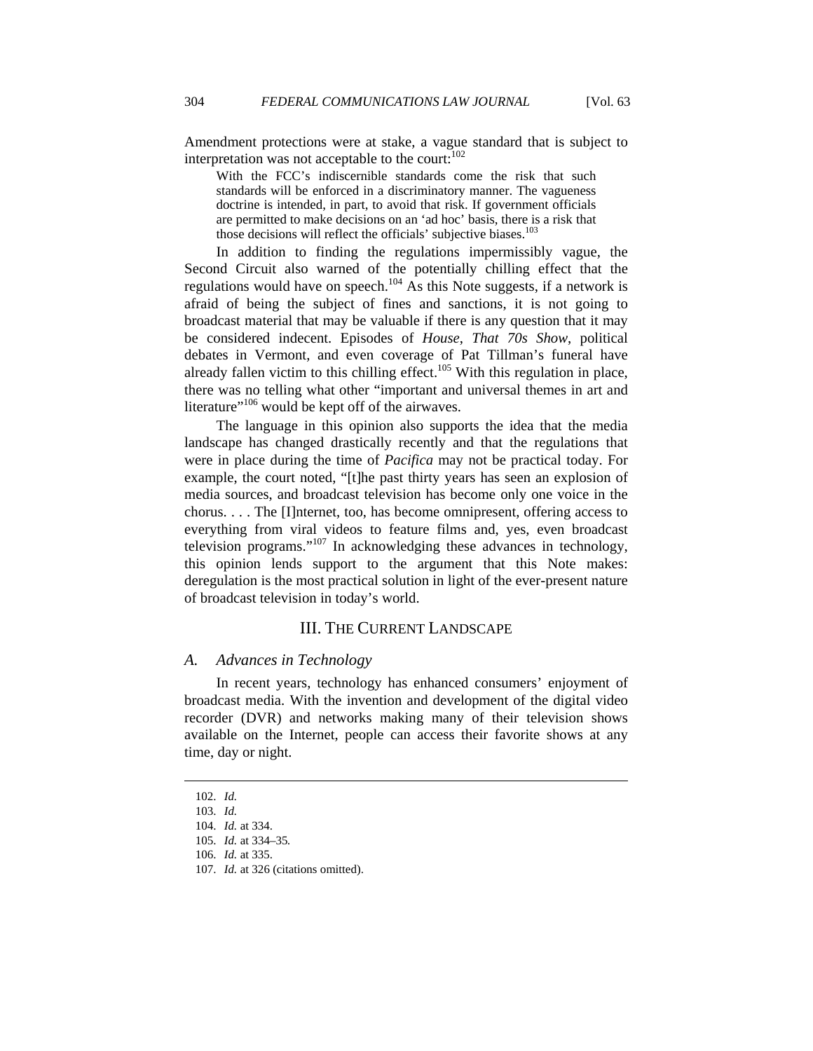Amendment protections were at stake, a vague standard that is subject to interpretation was not acceptable to the court:  $102$ 

With the FCC's indiscernible standards come the risk that such standards will be enforced in a discriminatory manner. The vagueness doctrine is intended, in part, to avoid that risk. If government officials are permitted to make decisions on an 'ad hoc' basis, there is a risk that those decisions will reflect the officials' subjective biases.<sup>103</sup>

In addition to finding the regulations impermissibly vague, the Second Circuit also warned of the potentially chilling effect that the regulations would have on speech.<sup>104</sup> As this Note suggests, if a network is afraid of being the subject of fines and sanctions, it is not going to broadcast material that may be valuable if there is any question that it may be considered indecent. Episodes of *House*, *That 70s Show*, political debates in Vermont, and even coverage of Pat Tillman's funeral have already fallen victim to this chilling effect.<sup>105</sup> With this regulation in place, there was no telling what other "important and universal themes in art and literature"<sup>106</sup> would be kept off of the airwaves.

The language in this opinion also supports the idea that the media landscape has changed drastically recently and that the regulations that were in place during the time of *Pacifica* may not be practical today. For example, the court noted, "[t]he past thirty years has seen an explosion of media sources, and broadcast television has become only one voice in the chorus. . . . The [I]nternet, too, has become omnipresent, offering access to everything from viral videos to feature films and, yes, even broadcast television programs."107 In acknowledging these advances in technology, this opinion lends support to the argument that this Note makes: deregulation is the most practical solution in light of the ever-present nature of broadcast television in today's world.

#### III. THE CURRENT LANDSCAPE

#### *A. Advances in Technology*

In recent years, technology has enhanced consumers' enjoyment of broadcast media. With the invention and development of the digital video recorder (DVR) and networks making many of their television shows available on the Internet, people can access their favorite shows at any time, day or night.

 <sup>102.</sup> *Id.*

 <sup>103.</sup> *Id.*

 <sup>104.</sup> *Id.* at 334.

 <sup>105.</sup> *Id.* at 334–35*.*

 <sup>106.</sup> *Id.* at 335.

 <sup>107.</sup> *Id.* at 326 (citations omitted).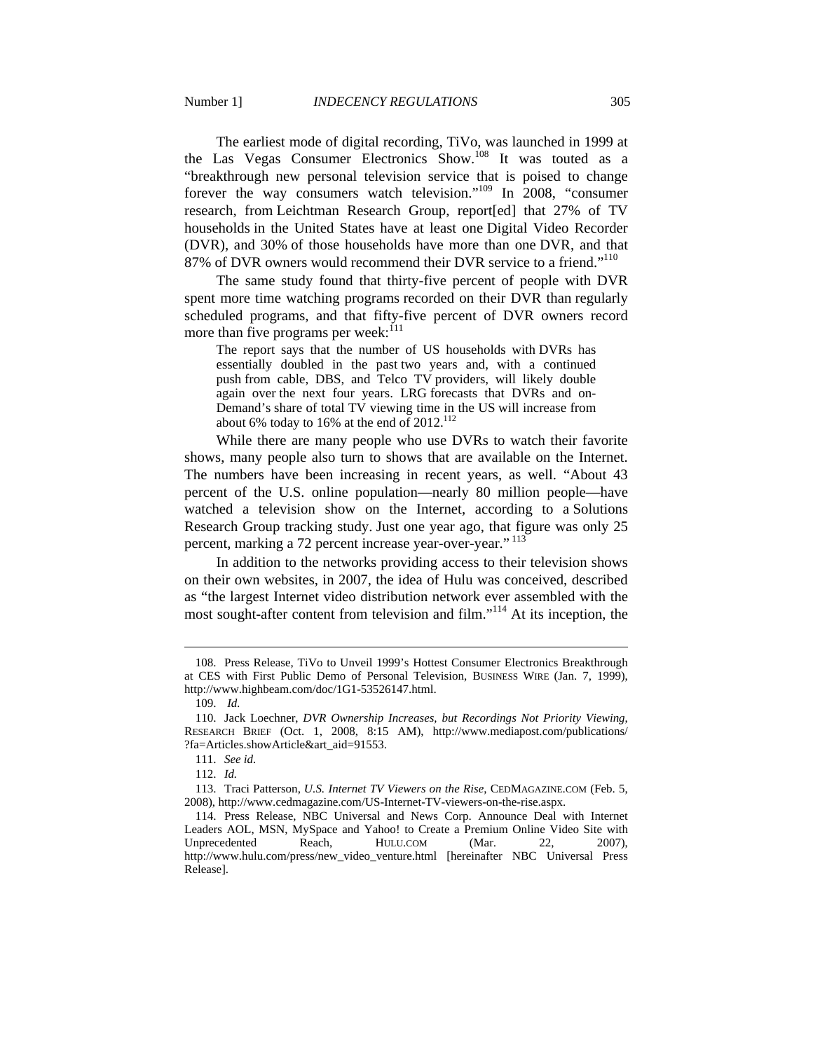The earliest mode of digital recording, TiVo, was launched in 1999 at the Las Vegas Consumer Electronics Show.108 It was touted as a "breakthrough new personal television service that is poised to change forever the way consumers watch television."109 In 2008, "consumer research, from Leichtman Research Group, report[ed] that 27% of TV households in the United States have at least one Digital Video Recorder (DVR), and 30% of those households have more than one DVR, and that 87% of DVR owners would recommend their DVR service to a friend."<sup>110</sup>

The same study found that thirty-five percent of people with DVR spent more time watching programs recorded on their DVR than regularly scheduled programs, and that fifty-five percent of DVR owners record more than five programs per week:<sup>111</sup>

The report says that the number of US households with DVRs has essentially doubled in the past two years and, with a continued push from cable, DBS, and Telco TV providers, will likely double again over the next four years. LRG forecasts that DVRs and on-Demand's share of total TV viewing time in the US will increase from about 6% today to 16% at the end of  $2012$ .<sup>112</sup>

While there are many people who use DVRs to watch their favorite shows, many people also turn to shows that are available on the Internet. The numbers have been increasing in recent years, as well. "About 43 percent of the U.S. online population—nearly 80 million people—have watched a television show on the Internet, according to a Solutions Research Group tracking study. Just one year ago, that figure was only 25 percent, marking a 72 percent increase year-over-year."<sup>113</sup>

In addition to the networks providing access to their television shows on their own websites, in 2007, the idea of Hulu was conceived, described as "the largest Internet video distribution network ever assembled with the most sought-after content from television and film."<sup>114</sup> At its inception, the

 <sup>108.</sup> Press Release, TiVo to Unveil 1999's Hottest Consumer Electronics Breakthrough at CES with First Public Demo of Personal Television, BUSINESS WIRE (Jan. 7, 1999), http://www.highbeam.com/doc/1G1-53526147.html.

 <sup>109.</sup> *Id.*

 <sup>110.</sup> Jack Loechner, *DVR Ownership Increases, but Recordings Not Priority Viewing*, RESEARCH BRIEF (Oct. 1, 2008, 8:15 AM), http://www.mediapost.com/publications/ ?fa=Articles.showArticle&art\_aid=91553.

 <sup>111.</sup> *See id.*

 <sup>112.</sup> *Id.*

 <sup>113.</sup> Traci Patterson, *U.S. Internet TV Viewers on the Rise*, CEDMAGAZINE.COM (Feb. 5, 2008), http://www.cedmagazine.com/US-Internet-TV-viewers-on-the-rise.aspx.

 <sup>114.</sup> Press Release, NBC Universal and News Corp. Announce Deal with Internet Leaders AOL, MSN, MySpace and Yahoo! to Create a Premium Online Video Site with Unprecedented Reach, HULU.COM (Mar. 22, 2007), http://www.hulu.com/press/new\_video\_venture.html [hereinafter NBC Universal Press Release].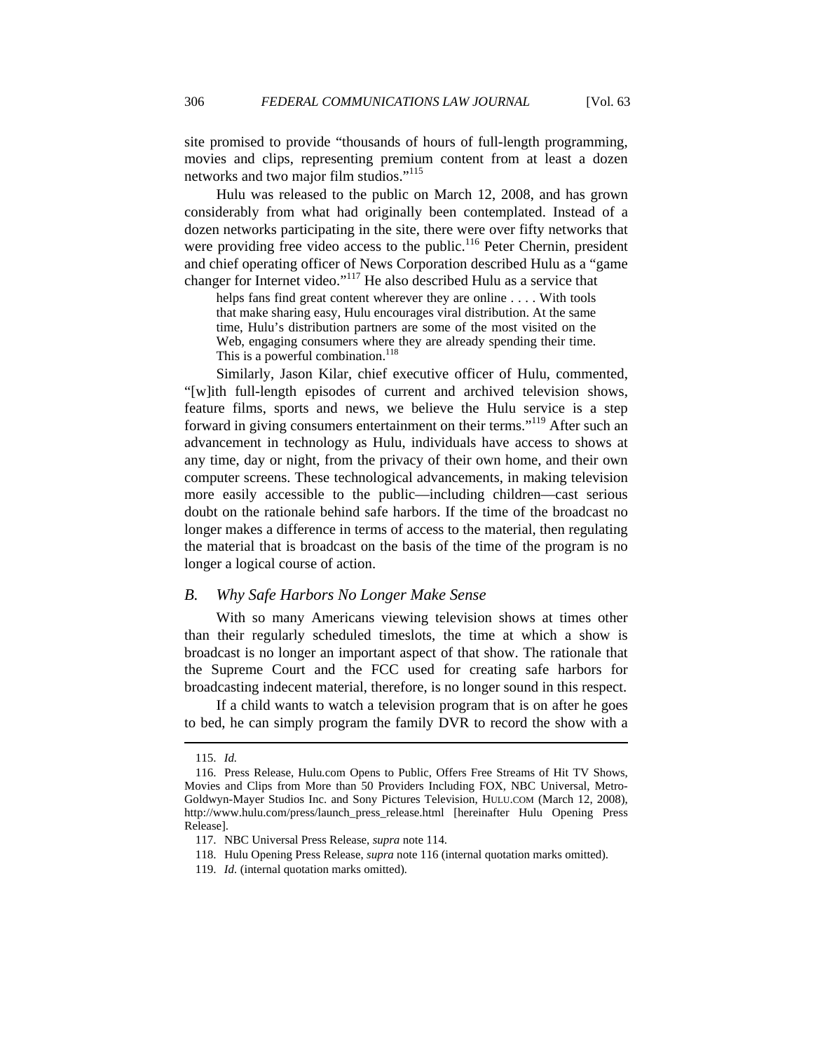site promised to provide "thousands of hours of full-length programming, movies and clips, representing premium content from at least a dozen networks and two major film studios."115

Hulu was released to the public on March 12, 2008, and has grown considerably from what had originally been contemplated. Instead of a dozen networks participating in the site, there were over fifty networks that were providing free video access to the public.<sup>116</sup> Peter Chernin, president and chief operating officer of News Corporation described Hulu as a "game changer for Internet video."117 He also described Hulu as a service that

helps fans find great content wherever they are online .... With tools that make sharing easy, Hulu encourages viral distribution. At the same time, Hulu's distribution partners are some of the most visited on the Web, engaging consumers where they are already spending their time. This is a powerful combination.<sup>118</sup>

Similarly, Jason Kilar, chief executive officer of Hulu, commented, "[w]ith full-length episodes of current and archived television shows, feature films, sports and news, we believe the Hulu service is a step forward in giving consumers entertainment on their terms."<sup>119</sup> After such an advancement in technology as Hulu, individuals have access to shows at any time, day or night, from the privacy of their own home, and their own computer screens. These technological advancements, in making television more easily accessible to the public—including children—cast serious doubt on the rationale behind safe harbors. If the time of the broadcast no longer makes a difference in terms of access to the material, then regulating the material that is broadcast on the basis of the time of the program is no longer a logical course of action.

#### *B. Why Safe Harbors No Longer Make Sense*

With so many Americans viewing television shows at times other than their regularly scheduled timeslots, the time at which a show is broadcast is no longer an important aspect of that show. The rationale that the Supreme Court and the FCC used for creating safe harbors for broadcasting indecent material, therefore, is no longer sound in this respect.

If a child wants to watch a television program that is on after he goes to bed, he can simply program the family DVR to record the show with a

 <sup>115.</sup> *Id.*

 <sup>116.</sup> Press Release, Hulu*.*com Opens to Public, Offers Free Streams of Hit TV Shows, Movies and Clips from More than 50 Providers Including FOX, NBC Universal, Metro-Goldwyn-Mayer Studios Inc. and Sony Pictures Television, HULU.COM (March 12, 2008), http://www.hulu.com/press/launch\_press\_release.html [hereinafter Hulu Opening Press Release].

 <sup>117.</sup> NBC Universal Press Release, *supra* note 114.

 <sup>118.</sup> Hulu Opening Press Release, *supra* note 116 (internal quotation marks omitted).

 <sup>119.</sup> *Id.* (internal quotation marks omitted)*.*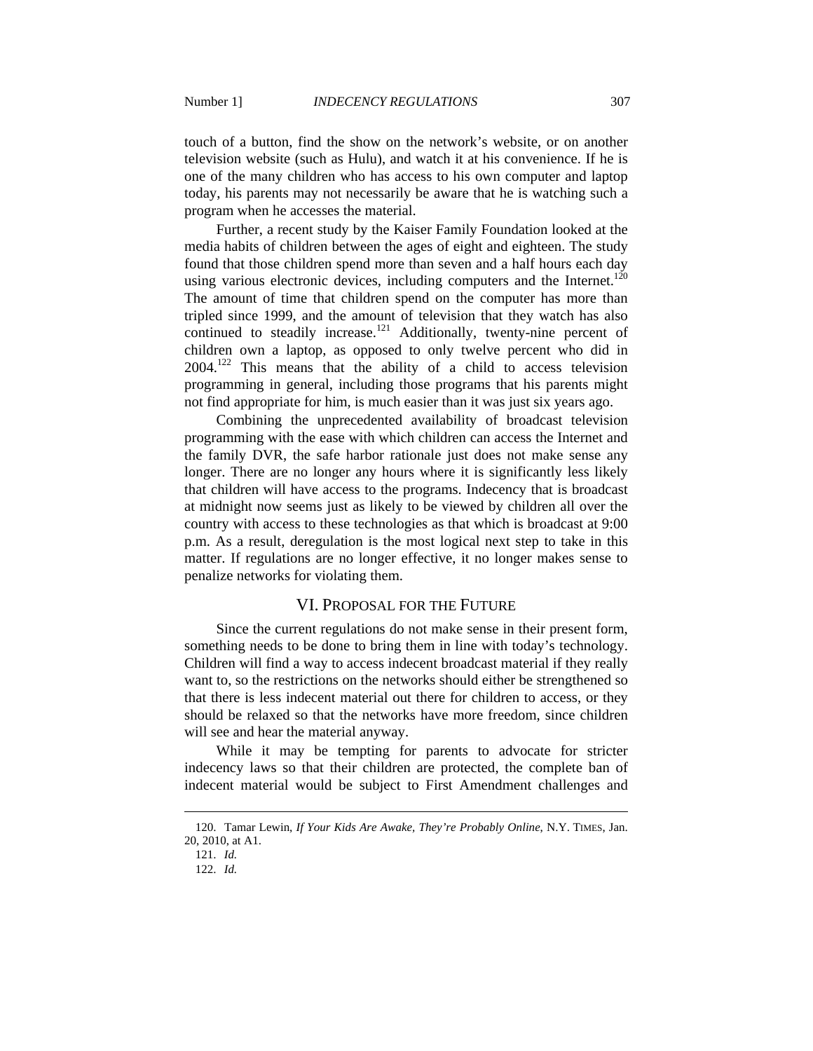touch of a button, find the show on the network's website, or on another television website (such as Hulu), and watch it at his convenience. If he is one of the many children who has access to his own computer and laptop today, his parents may not necessarily be aware that he is watching such a program when he accesses the material.

Further, a recent study by the Kaiser Family Foundation looked at the media habits of children between the ages of eight and eighteen. The study found that those children spend more than seven and a half hours each day using various electronic devices, including computers and the Internet.<sup>120</sup> The amount of time that children spend on the computer has more than tripled since 1999, and the amount of television that they watch has also continued to steadily increase.<sup>121</sup> Additionally, twenty-nine percent of children own a laptop, as opposed to only twelve percent who did in 2004.122 This means that the ability of a child to access television programming in general, including those programs that his parents might not find appropriate for him, is much easier than it was just six years ago.

Combining the unprecedented availability of broadcast television programming with the ease with which children can access the Internet and the family DVR, the safe harbor rationale just does not make sense any longer. There are no longer any hours where it is significantly less likely that children will have access to the programs. Indecency that is broadcast at midnight now seems just as likely to be viewed by children all over the country with access to these technologies as that which is broadcast at 9:00 p.m. As a result, deregulation is the most logical next step to take in this matter. If regulations are no longer effective, it no longer makes sense to penalize networks for violating them.

#### VI. PROPOSAL FOR THE FUTURE

Since the current regulations do not make sense in their present form, something needs to be done to bring them in line with today's technology. Children will find a way to access indecent broadcast material if they really want to, so the restrictions on the networks should either be strengthened so that there is less indecent material out there for children to access, or they should be relaxed so that the networks have more freedom, since children will see and hear the material anyway.

While it may be tempting for parents to advocate for stricter indecency laws so that their children are protected, the complete ban of indecent material would be subject to First Amendment challenges and

 <sup>120.</sup> Tamar Lewin, *If Your Kids Are Awake, They're Probably Online*, N.Y. TIMES, Jan. 20, 2010, at A1.

 <sup>121.</sup> *Id.*

 <sup>122.</sup> *Id.*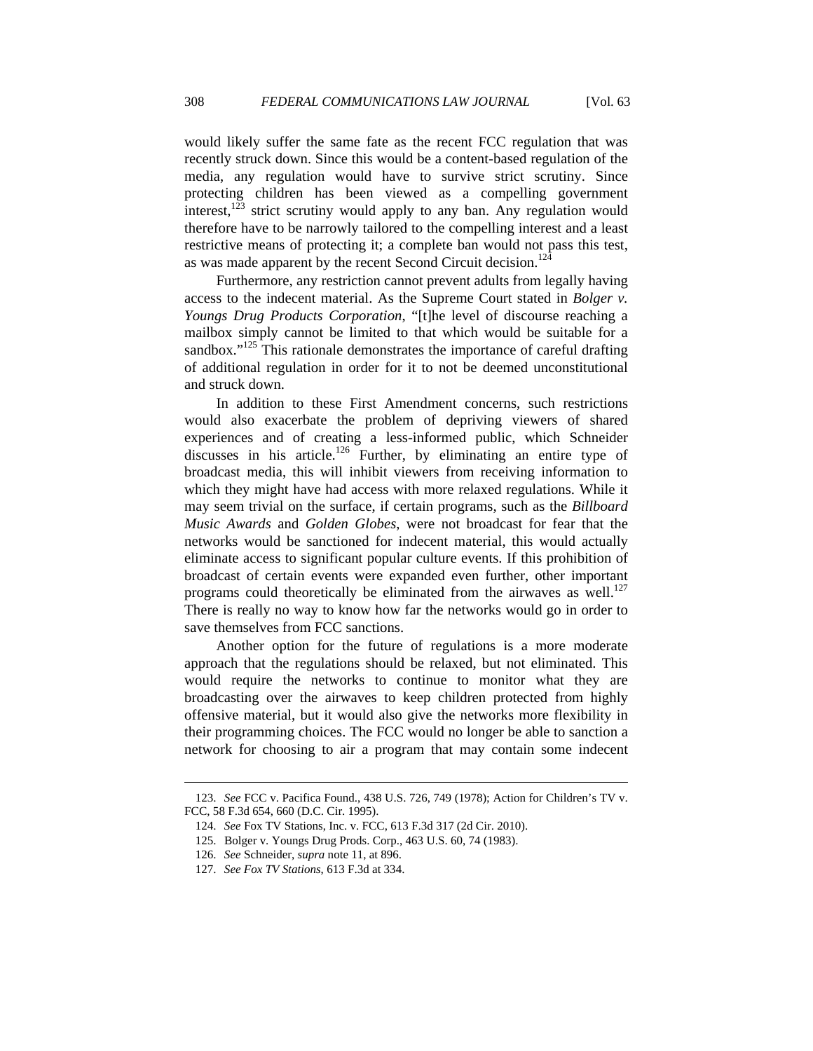would likely suffer the same fate as the recent FCC regulation that was recently struck down. Since this would be a content-based regulation of the media, any regulation would have to survive strict scrutiny. Since protecting children has been viewed as a compelling government interest,  $123$  strict scrutiny would apply to any ban. Any regulation would therefore have to be narrowly tailored to the compelling interest and a least restrictive means of protecting it; a complete ban would not pass this test, as was made apparent by the recent Second Circuit decision.<sup>124</sup>

Furthermore, any restriction cannot prevent adults from legally having access to the indecent material. As the Supreme Court stated in *Bolger v. Youngs Drug Products Corporation*, "[t]he level of discourse reaching a mailbox simply cannot be limited to that which would be suitable for a sandbox. $125$  This rationale demonstrates the importance of careful drafting of additional regulation in order for it to not be deemed unconstitutional and struck down.

In addition to these First Amendment concerns, such restrictions would also exacerbate the problem of depriving viewers of shared experiences and of creating a less-informed public, which Schneider discusses in his article.<sup>126</sup> Further, by eliminating an entire type of broadcast media, this will inhibit viewers from receiving information to which they might have had access with more relaxed regulations. While it may seem trivial on the surface, if certain programs, such as the *Billboard Music Awards* and *Golden Globes*, were not broadcast for fear that the networks would be sanctioned for indecent material, this would actually eliminate access to significant popular culture events. If this prohibition of broadcast of certain events were expanded even further, other important programs could theoretically be eliminated from the airwaves as well.<sup>127</sup> There is really no way to know how far the networks would go in order to save themselves from FCC sanctions.

Another option for the future of regulations is a more moderate approach that the regulations should be relaxed, but not eliminated. This would require the networks to continue to monitor what they are broadcasting over the airwaves to keep children protected from highly offensive material, but it would also give the networks more flexibility in their programming choices. The FCC would no longer be able to sanction a network for choosing to air a program that may contain some indecent

 <sup>123.</sup> *See* FCC v. Pacifica Found., 438 U.S. 726, 749 (1978); Action for Children's TV v. FCC, 58 F.3d 654, 660 (D.C. Cir. 1995).

 <sup>124.</sup> *See* Fox TV Stations, Inc. v. FCC, 613 F.3d 317 (2d Cir. 2010).

 <sup>125.</sup> Bolger v. Youngs Drug Prods. Corp., 463 U.S. 60, 74 (1983).

 <sup>126.</sup> *See* Schneider, *supra* note 11, at 896.

 <sup>127.</sup> *See Fox TV Stations*, 613 F.3d at 334.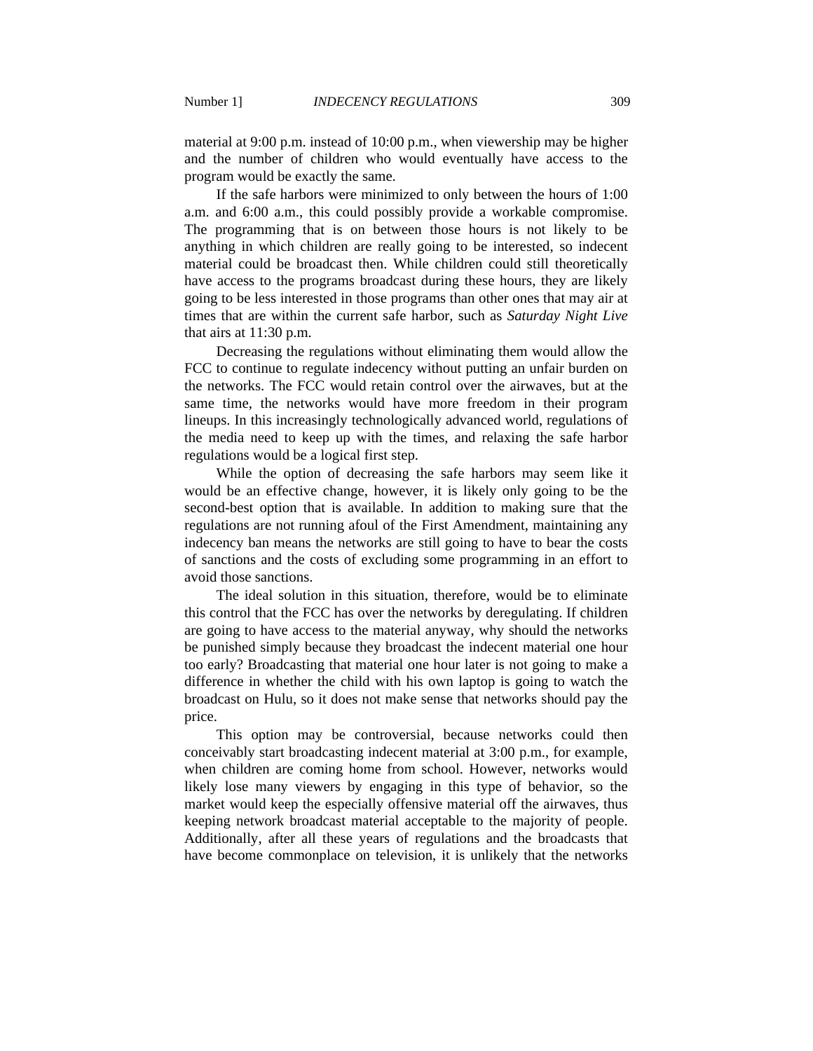material at 9:00 p.m. instead of 10:00 p.m., when viewership may be higher and the number of children who would eventually have access to the program would be exactly the same.

If the safe harbors were minimized to only between the hours of 1:00 a.m. and 6:00 a.m., this could possibly provide a workable compromise. The programming that is on between those hours is not likely to be anything in which children are really going to be interested, so indecent material could be broadcast then. While children could still theoretically have access to the programs broadcast during these hours, they are likely going to be less interested in those programs than other ones that may air at times that are within the current safe harbor, such as *Saturday Night Live*  that airs at 11:30 p.m.

Decreasing the regulations without eliminating them would allow the FCC to continue to regulate indecency without putting an unfair burden on the networks. The FCC would retain control over the airwaves, but at the same time, the networks would have more freedom in their program lineups. In this increasingly technologically advanced world, regulations of the media need to keep up with the times, and relaxing the safe harbor regulations would be a logical first step.

While the option of decreasing the safe harbors may seem like it would be an effective change, however, it is likely only going to be the second-best option that is available. In addition to making sure that the regulations are not running afoul of the First Amendment, maintaining any indecency ban means the networks are still going to have to bear the costs of sanctions and the costs of excluding some programming in an effort to avoid those sanctions.

The ideal solution in this situation, therefore, would be to eliminate this control that the FCC has over the networks by deregulating. If children are going to have access to the material anyway, why should the networks be punished simply because they broadcast the indecent material one hour too early? Broadcasting that material one hour later is not going to make a difference in whether the child with his own laptop is going to watch the broadcast on Hulu, so it does not make sense that networks should pay the price.

This option may be controversial, because networks could then conceivably start broadcasting indecent material at 3:00 p.m., for example, when children are coming home from school. However, networks would likely lose many viewers by engaging in this type of behavior, so the market would keep the especially offensive material off the airwaves, thus keeping network broadcast material acceptable to the majority of people. Additionally, after all these years of regulations and the broadcasts that have become commonplace on television, it is unlikely that the networks